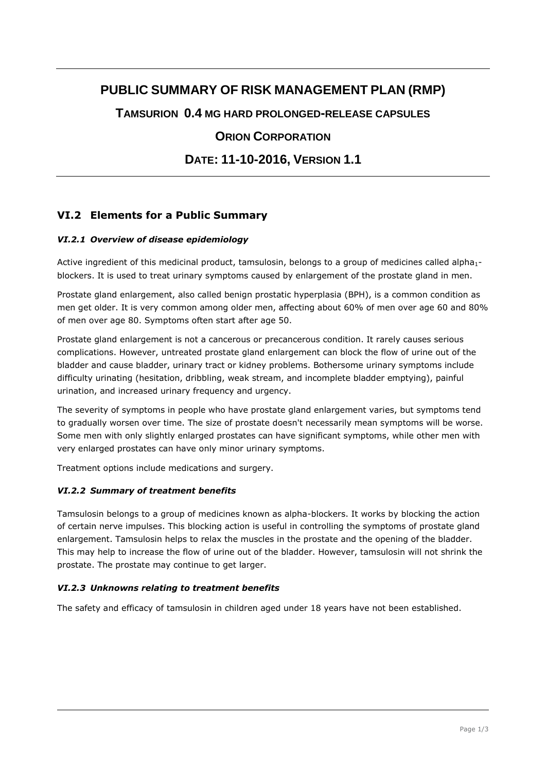# **PUBLIC SUMMARY OF RISK MANAGEMENT PLAN (RMP)**

**TAMSURION 0.4 MG HARD PROLONGED-RELEASE CAPSULES**

# **ORION CORPORATION**

**DATE: 11-10-2016, VERSION 1.1**

# **VI.2 Elements for a Public Summary**

### *VI.2.1 Overview of disease epidemiology*

Active ingredient of this medicinal product, tamsulosin, belongs to a group of medicines called alpha<sub>1-</sub> blockers. It is used to treat urinary symptoms caused by enlargement of the prostate gland in men.

Prostate gland enlargement, also called benign prostatic hyperplasia (BPH), is a common condition as men get older. It is very common among older men, affecting about 60% of men over age 60 and 80% of men over age 80. Symptoms often start after age 50.

Prostate gland enlargement is not a cancerous or precancerous condition. It rarely causes serious complications. However, untreated prostate gland enlargement can block the flow of urine out of the bladder and cause bladder, urinary tract or kidney problems. Bothersome urinary symptoms include difficulty urinating (hesitation, dribbling, weak stream, and incomplete bladder emptying), painful urination, and increased urinary frequency and urgency.

The severity of symptoms in people who have prostate gland enlargement varies, but symptoms tend to gradually worsen over time. The size of prostate doesn't necessarily mean symptoms will be worse. Some men with only slightly enlarged prostates can have significant symptoms, while other men with very enlarged prostates can have only minor urinary symptoms.

Treatment options include medications and surgery.

### *VI.2.2 Summary of treatment benefits*

Tamsulosin belongs to a group of medicines known as alpha-blockers. It works by blocking the action of certain nerve impulses. This blocking action is useful in controlling the symptoms of prostate gland enlargement. Tamsulosin helps to relax the muscles in the prostate and the opening of the bladder. This may help to increase the flow of urine out of the bladder. However, tamsulosin will not shrink the prostate. The prostate may continue to get larger.

### *VI.2.3 Unknowns relating to treatment benefits*

The safety and efficacy of tamsulosin in children aged under 18 years have not been established.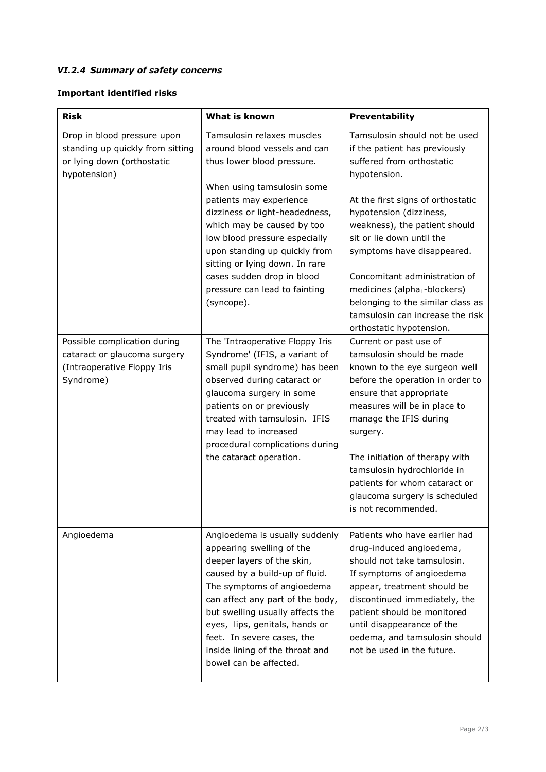# *VI.2.4 Summary of safety concerns*

# **Important identified risks**

| <b>Risk</b>                                                                                                   | What is known                                                                                                                                                                                                                                                                                                                                                  | Preventability                                                                                                                                                                                                                                                                                                                                                                      |
|---------------------------------------------------------------------------------------------------------------|----------------------------------------------------------------------------------------------------------------------------------------------------------------------------------------------------------------------------------------------------------------------------------------------------------------------------------------------------------------|-------------------------------------------------------------------------------------------------------------------------------------------------------------------------------------------------------------------------------------------------------------------------------------------------------------------------------------------------------------------------------------|
| Drop in blood pressure upon<br>standing up quickly from sitting<br>or lying down (orthostatic<br>hypotension) | Tamsulosin relaxes muscles<br>around blood vessels and can<br>thus lower blood pressure.                                                                                                                                                                                                                                                                       | Tamsulosin should not be used<br>if the patient has previously<br>suffered from orthostatic<br>hypotension.                                                                                                                                                                                                                                                                         |
|                                                                                                               | When using tamsulosin some<br>patients may experience<br>dizziness or light-headedness,<br>which may be caused by too<br>low blood pressure especially<br>upon standing up quickly from<br>sitting or lying down. In rare<br>cases sudden drop in blood<br>pressure can lead to fainting<br>(syncope).                                                         | At the first signs of orthostatic<br>hypotension (dizziness,<br>weakness), the patient should<br>sit or lie down until the<br>symptoms have disappeared.<br>Concomitant administration of<br>medicines (alpha <sub>1</sub> -blockers)<br>belonging to the similar class as<br>tamsulosin can increase the risk<br>orthostatic hypotension.                                          |
| Possible complication during<br>cataract or glaucoma surgery<br>(Intraoperative Floppy Iris<br>Syndrome)      | The 'Intraoperative Floppy Iris<br>Syndrome' (IFIS, a variant of<br>small pupil syndrome) has been<br>observed during cataract or<br>glaucoma surgery in some<br>patients on or previously<br>treated with tamsulosin. IFIS<br>may lead to increased<br>procedural complications during<br>the cataract operation.                                             | Current or past use of<br>tamsulosin should be made<br>known to the eye surgeon well<br>before the operation in order to<br>ensure that appropriate<br>measures will be in place to<br>manage the IFIS during<br>surgery.<br>The initiation of therapy with<br>tamsulosin hydrochloride in<br>patients for whom cataract or<br>glaucoma surgery is scheduled<br>is not recommended. |
| Angioedema                                                                                                    | Angioedema is usually suddenly<br>appearing swelling of the<br>deeper layers of the skin,<br>caused by a build-up of fluid.<br>The symptoms of angioedema<br>can affect any part of the body,<br>but swelling usually affects the<br>eyes, lips, genitals, hands or<br>feet. In severe cases, the<br>inside lining of the throat and<br>bowel can be affected. | Patients who have earlier had<br>drug-induced angioedema,<br>should not take tamsulosin.<br>If symptoms of angioedema<br>appear, treatment should be<br>discontinued immediately, the<br>patient should be monitored<br>until disappearance of the<br>oedema, and tamsulosin should<br>not be used in the future.                                                                   |